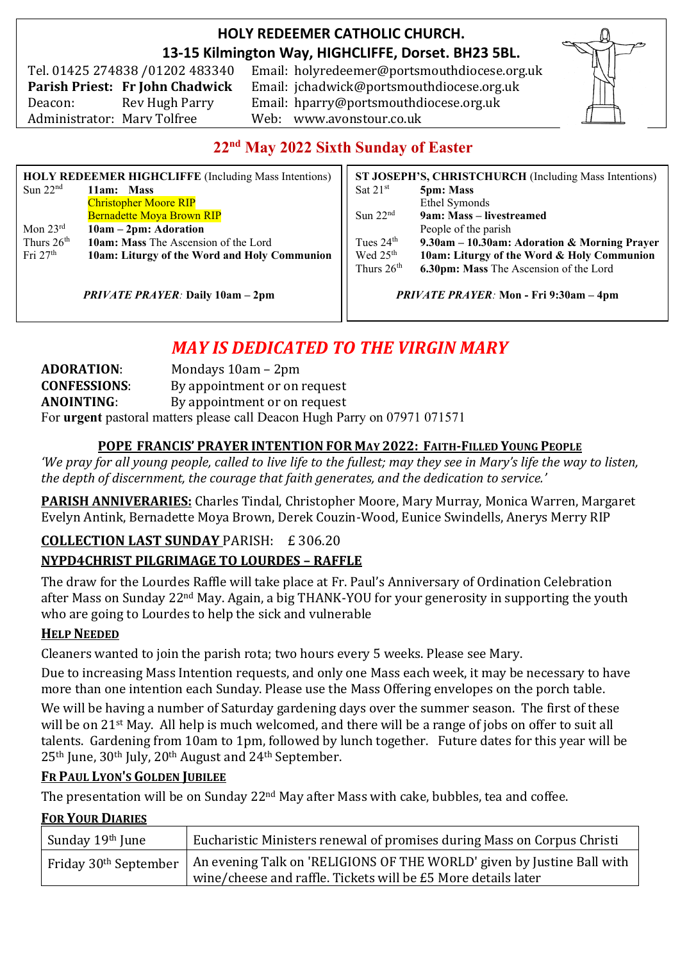# **HOLY REDEEMER CATHOLIC CHURCH. 13-15 Kilmington Way, HIGHCLIFFE, Dorset. BH23 5BL.**

Tel. 01425 274838 /01202 483340 Administrator: Mary Tolfree Web: www.avonstour.co.uk

Email: holyredeemer@portsmouthdiocese.org.uk **Parish Priest: Fr John Chadwick** Email: jchadwick@portsmouthdiocese.org.uk Deacon: Rev Hugh Parry Email: hparry@portsmouthdiocese.org.uk



# **22nd May 2022 Sixth Sunday of Easter**

| <b>HOLY REDEEMER HIGHCLIFFE</b> (Including Mass Intentions) |                                              | ST JOSEPH'S, CHRISTCHURCH (Including Mass Intentions) |                                              |
|-------------------------------------------------------------|----------------------------------------------|-------------------------------------------------------|----------------------------------------------|
| Sun $22nd$                                                  | 11am: Mass                                   | Sat $21^{st}$                                         | <b>5pm: Mass</b>                             |
|                                                             | <b>Christopher Moore RIP</b>                 |                                                       | Ethel Symonds                                |
|                                                             | <b>Bernadette Moya Brown RIP</b>             | Sun $22nd$                                            | 9am: Mass – livestreamed                     |
| Mon $23^{\text{rd}}$                                        | $10am - 2pm$ : Adoration                     |                                                       | People of the parish                         |
| Thurs $26th$                                                | 10am: Mass The Ascension of the Lord         | Tues $24th$                                           | 9.30am - 10.30am: Adoration & Morning Prayer |
| Fri $27th$                                                  | 10am: Liturgy of the Word and Holy Communion | Wed 25 <sup>th</sup>                                  | 10am: Liturgy of the Word & Holy Communion   |
|                                                             |                                              | Thurs $26th$                                          | 6.30pm: Mass The Ascension of the Lord       |
|                                                             |                                              |                                                       |                                              |

*PRIVATE PRAYER:* **Daily 10am – 2pm**

*PRIVATE PRAYER:* **Mon - Fri 9:30am – 4pm**

# *MAY IS DEDICATED TO THE VIRGIN MARY*

| <b>ADORATION:</b>   | Mondays $10am - 2pm$                                                      |
|---------------------|---------------------------------------------------------------------------|
| <b>CONFESSIONS:</b> | By appointment or on request                                              |
| <b>ANOINTING:</b>   | By appointment or on request                                              |
|                     | For urgent pastoral matters please call Deacon Hugh Parry on 07971 071571 |

#### **POPE FRANCIS' PRAYER INTENTION FOR MAY 2022: FAITH-FILLED YOUNG PEOPLE**

*'We pray for all young people, called to live life to the fullest; may they see in Mary's life the way to listen, the depth of discernment, the courage that faith generates, and the dedication to service.'*

**PARISH ANNIVERARIES:** Charles Tindal, Christopher Moore, Mary Murray, Monica Warren, Margaret Evelyn Antink, Bernadette Moya Brown, Derek Couzin-Wood, Eunice Swindells, Anerys Merry RIP

# **COLLECTION LAST SUNDAY** PARISH: £ 306.20 **NYPD4CHRIST PILGRIMAGE TO LOURDES – RAFFLE**

The draw for the Lourdes Raffle will take place at Fr. Paul's Anniversary of Ordination Celebration after Mass on Sunday 22nd May. Again, a big THANK-YOU for your generosity in supporting the youth who are going to Lourdes to help the sick and vulnerable

#### **HELP NEEDED**

Cleaners wanted to join the parish rota; two hours every 5 weeks. Please see Mary.

Due to increasing Mass Intention requests, and only one Mass each week, it may be necessary to have more than one intention each Sunday. Please use the Mass Offering envelopes on the porch table.

We will be having a number of Saturday gardening days over the summer season. The first of these will be on 21st May. All help is much welcomed, and there will be a range of jobs on offer to suit all talents. Gardening from 10am to 1pm, followed by lunch together. Future dates for this year will be 25th June, 30th July, 20th August and 24th September.

#### **FR PAUL LYON'S GOLDEN JUBILEE**

The presentation will be on Sunday 22<sup>nd</sup> May after Mass with cake, bubbles, tea and coffee.

#### **FOR YOUR DIARIES**

| Sunday 19th June | Eucharistic Ministers renewal of promises during Mass on Corpus Christi                                    |
|------------------|------------------------------------------------------------------------------------------------------------|
|                  | Friday 30 <sup>th</sup> September   An evening Talk on 'RELIGIONS OF THE WORLD' given by Justine Ball with |
|                  | wine/cheese and raffle. Tickets will be £5 More details later                                              |